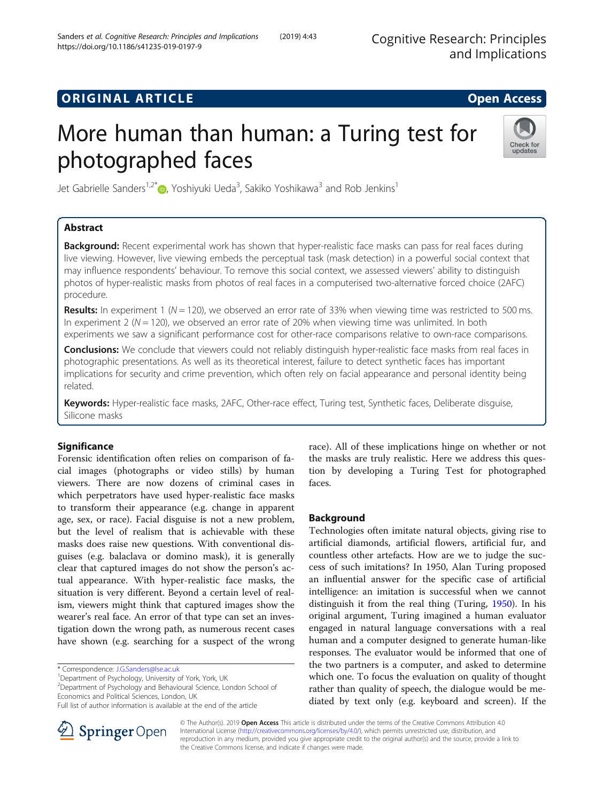# **ORIGINAL ARTICLE CONSERVANCE IN A LOCAL CONSERVANCE IN A LOCAL CONSERVANCE IN A LOCAL CONSERVANCE IN A LOCAL CONS**

# More human than human: a Turing test for photographed faces



Jet Gabrielle Sanders<sup>1,2[\\*](http://orcid.org/0000-0002-9951-2799)</sup>®, Yoshiyuki Ueda<sup>3</sup>, Sakiko Yoshikawa<sup>3</sup> and Rob Jenkins<sup>1</sup>

# Abstract

**Background:** Recent experimental work has shown that hyper-realistic face masks can pass for real faces during live viewing. However, live viewing embeds the perceptual task (mask detection) in a powerful social context that may influence respondents' behaviour. To remove this social context, we assessed viewers' ability to distinguish photos of hyper-realistic masks from photos of real faces in a computerised two-alternative forced choice (2AFC) procedure.

**Results:** In experiment 1 ( $N = 120$ ), we observed an error rate of 33% when viewing time was restricted to 500 ms. In experiment 2 ( $N = 120$ ), we observed an error rate of 20% when viewing time was unlimited. In both experiments we saw a significant performance cost for other-race comparisons relative to own-race comparisons.

Conclusions: We conclude that viewers could not reliably distinguish hyper-realistic face masks from real faces in photographic presentations. As well as its theoretical interest, failure to detect synthetic faces has important implications for security and crime prevention, which often rely on facial appearance and personal identity being related.

Keywords: Hyper-realistic face masks, 2AFC, Other-race effect, Turing test, Synthetic faces, Deliberate disquise, Silicone masks

# **Significance**

Forensic identification often relies on comparison of facial images (photographs or video stills) by human viewers. There are now dozens of criminal cases in which perpetrators have used hyper-realistic face masks to transform their appearance (e.g. change in apparent age, sex, or race). Facial disguise is not a new problem, but the level of realism that is achievable with these masks does raise new questions. With conventional disguises (e.g. balaclava or domino mask), it is generally clear that captured images do not show the person's actual appearance. With hyper-realistic face masks, the situation is very different. Beyond a certain level of realism, viewers might think that captured images show the wearer's real face. An error of that type can set an investigation down the wrong path, as numerous recent cases have shown (e.g. searching for a suspect of the wrong

<sup>2</sup>Department of Psychology and Behavioural Science, London School of Economics and Political Sciences, London, UK

race). All of these implications hinge on whether or not the masks are truly realistic. Here we address this question by developing a Turing Test for photographed faces.

# Background

Technologies often imitate natural objects, giving rise to artificial diamonds, artificial flowers, artificial fur, and countless other artefacts. How are we to judge the success of such imitations? In 1950, Alan Turing proposed an influential answer for the specific case of artificial intelligence: an imitation is successful when we cannot distinguish it from the real thing (Turing, [1950\)](#page-9-0). In his original argument, Turing imagined a human evaluator engaged in natural language conversations with a real human and a computer designed to generate human-like responses. The evaluator would be informed that one of the two partners is a computer, and asked to determine which one. To focus the evaluation on quality of thought rather than quality of speech, the dialogue would be mediated by text only (e.g. keyboard and screen). If the



© The Author(s). 2019 Open Access This article is distributed under the terms of the Creative Commons Attribution 4.0 International License ([http://creativecommons.org/licenses/by/4.0/\)](http://creativecommons.org/licenses/by/4.0/), which permits unrestricted use, distribution, and reproduction in any medium, provided you give appropriate credit to the original author(s) and the source, provide a link to the Creative Commons license, and indicate if changes were made.

<sup>\*</sup> Correspondence: [J.G.Sanders@lse.ac.uk](mailto:J.G.Sanders@lse.ac.uk) <sup>1</sup>

<sup>&</sup>lt;sup>1</sup>Department of Psychology, University of York, York, UK

Full list of author information is available at the end of the article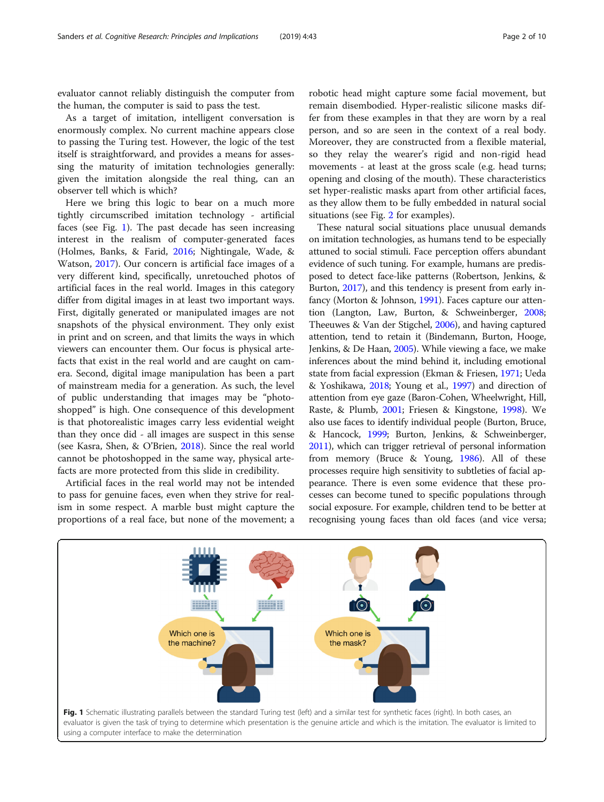evaluator cannot reliably distinguish the computer from the human, the computer is said to pass the test.

As a target of imitation, intelligent conversation is enormously complex. No current machine appears close to passing the Turing test. However, the logic of the test itself is straightforward, and provides a means for assessing the maturity of imitation technologies generally: given the imitation alongside the real thing, can an observer tell which is which?

Here we bring this logic to bear on a much more tightly circumscribed imitation technology - artificial faces (see Fig. 1). The past decade has seen increasing interest in the realism of computer-generated faces (Holmes, Banks, & Farid, [2016](#page-9-0); Nightingale, Wade, & Watson, [2017\)](#page-9-0). Our concern is artificial face images of a very different kind, specifically, unretouched photos of artificial faces in the real world. Images in this category differ from digital images in at least two important ways. First, digitally generated or manipulated images are not snapshots of the physical environment. They only exist in print and on screen, and that limits the ways in which viewers can encounter them. Our focus is physical artefacts that exist in the real world and are caught on camera. Second, digital image manipulation has been a part of mainstream media for a generation. As such, the level of public understanding that images may be "photoshopped" is high. One consequence of this development is that photorealistic images carry less evidential weight than they once did - all images are suspect in this sense (see Kasra, Shen, & O'Brien, [2018\)](#page-9-0). Since the real world cannot be photoshopped in the same way, physical artefacts are more protected from this slide in credibility.

Artificial faces in the real world may not be intended to pass for genuine faces, even when they strive for realism in some respect. A marble bust might capture the proportions of a real face, but none of the movement; a

robotic head might capture some facial movement, but remain disembodied. Hyper-realistic silicone masks differ from these examples in that they are worn by a real person, and so are seen in the context of a real body. Moreover, they are constructed from a flexible material, so they relay the wearer's rigid and non-rigid head movements - at least at the gross scale (e.g. head turns; opening and closing of the mouth). These characteristics set hyper-realistic masks apart from other artificial faces, as they allow them to be fully embedded in natural social situations (see Fig. [2](#page-2-0) for examples).

These natural social situations place unusual demands on imitation technologies, as humans tend to be especially attuned to social stimuli. Face perception offers abundant evidence of such tuning. For example, humans are predisposed to detect face-like patterns (Robertson, Jenkins, & Burton, [2017](#page-9-0)), and this tendency is present from early infancy (Morton & Johnson, [1991\)](#page-9-0). Faces capture our attention (Langton, Law, Burton, & Schweinberger, [2008](#page-9-0); Theeuwes & Van der Stigchel, [2006](#page-9-0)), and having captured attention, tend to retain it (Bindemann, Burton, Hooge, Jenkins, & De Haan, [2005\)](#page-8-0). While viewing a face, we make inferences about the mind behind it, including emotional state from facial expression (Ekman & Friesen, [1971;](#page-8-0) Ueda & Yoshikawa, [2018;](#page-9-0) Young et al., [1997](#page-9-0)) and direction of attention from eye gaze (Baron-Cohen, Wheelwright, Hill, Raste, & Plumb, [2001;](#page-8-0) Friesen & Kingstone, [1998\)](#page-8-0). We also use faces to identify individual people (Burton, Bruce, & Hancock, [1999;](#page-8-0) Burton, Jenkins, & Schweinberger, [2011\)](#page-8-0), which can trigger retrieval of personal information from memory (Bruce & Young, [1986\)](#page-8-0). All of these processes require high sensitivity to subtleties of facial appearance. There is even some evidence that these processes can become tuned to specific populations through social exposure. For example, children tend to be better at recognising young faces than old faces (and vice versa;

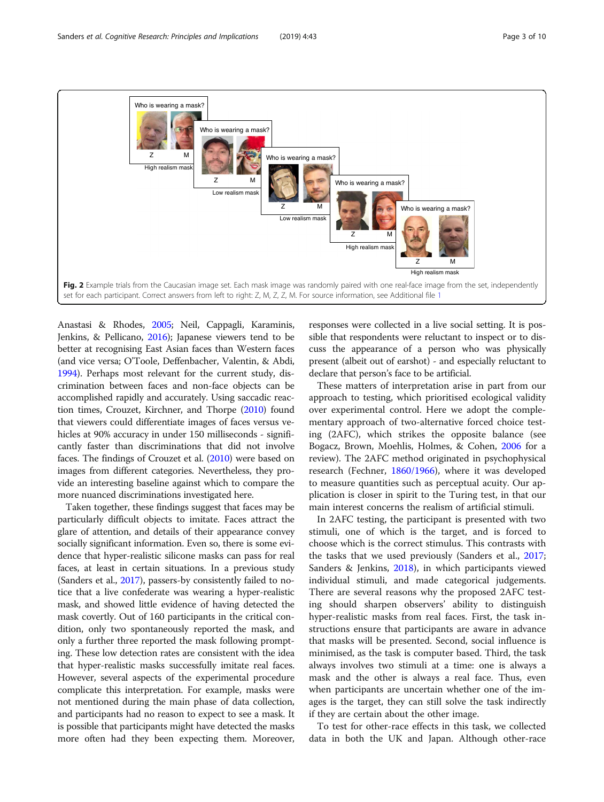<span id="page-2-0"></span>

Anastasi & Rhodes, [2005](#page-8-0); Neil, Cappagli, Karaminis, Jenkins, & Pellicano, [2016\)](#page-9-0); Japanese viewers tend to be better at recognising East Asian faces than Western faces (and vice versa; O'Toole, Deffenbacher, Valentin, & Abdi, [1994\)](#page-9-0). Perhaps most relevant for the current study, discrimination between faces and non-face objects can be accomplished rapidly and accurately. Using saccadic reaction times, Crouzet, Kirchner, and Thorpe [\(2010\)](#page-8-0) found that viewers could differentiate images of faces versus vehicles at 90% accuracy in under 150 milliseconds - significantly faster than discriminations that did not involve faces. The findings of Crouzet et al. [\(2010](#page-8-0)) were based on images from different categories. Nevertheless, they provide an interesting baseline against which to compare the more nuanced discriminations investigated here.

Taken together, these findings suggest that faces may be particularly difficult objects to imitate. Faces attract the glare of attention, and details of their appearance convey socially significant information. Even so, there is some evidence that hyper-realistic silicone masks can pass for real faces, at least in certain situations. In a previous study (Sanders et al., [2017\)](#page-9-0), passers-by consistently failed to notice that a live confederate was wearing a hyper-realistic mask, and showed little evidence of having detected the mask covertly. Out of 160 participants in the critical condition, only two spontaneously reported the mask, and only a further three reported the mask following prompting. These low detection rates are consistent with the idea that hyper-realistic masks successfully imitate real faces. However, several aspects of the experimental procedure complicate this interpretation. For example, masks were not mentioned during the main phase of data collection, and participants had no reason to expect to see a mask. It is possible that participants might have detected the masks more often had they been expecting them. Moreover, responses were collected in a live social setting. It is possible that respondents were reluctant to inspect or to discuss the appearance of a person who was physically present (albeit out of earshot) - and especially reluctant to declare that person's face to be artificial.

These matters of interpretation arise in part from our approach to testing, which prioritised ecological validity over experimental control. Here we adopt the complementary approach of two-alternative forced choice testing (2AFC), which strikes the opposite balance (see Bogacz, Brown, Moehlis, Holmes, & Cohen, [2006](#page-8-0) for a review). The 2AFC method originated in psychophysical research (Fechner, [1860/1966\)](#page-8-0), where it was developed to measure quantities such as perceptual acuity. Our application is closer in spirit to the Turing test, in that our main interest concerns the realism of artificial stimuli.

In 2AFC testing, the participant is presented with two stimuli, one of which is the target, and is forced to choose which is the correct stimulus. This contrasts with the tasks that we used previously (Sanders et al., [2017](#page-9-0); Sanders & Jenkins, [2018\)](#page-9-0), in which participants viewed individual stimuli, and made categorical judgements. There are several reasons why the proposed 2AFC testing should sharpen observers' ability to distinguish hyper-realistic masks from real faces. First, the task instructions ensure that participants are aware in advance that masks will be presented. Second, social influence is minimised, as the task is computer based. Third, the task always involves two stimuli at a time: one is always a mask and the other is always a real face. Thus, even when participants are uncertain whether one of the images is the target, they can still solve the task indirectly if they are certain about the other image.

To test for other-race effects in this task, we collected data in both the UK and Japan. Although other-race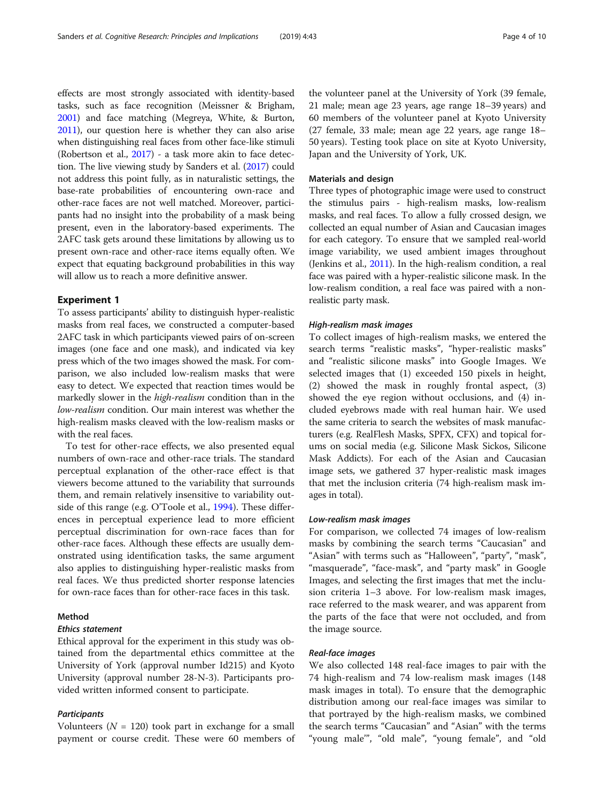effects are most strongly associated with identity-based tasks, such as face recognition (Meissner & Brigham, [2001\)](#page-9-0) and face matching (Megreya, White, & Burton, [2011\)](#page-9-0), our question here is whether they can also arise when distinguishing real faces from other face-like stimuli (Robertson et al., [2017\)](#page-9-0) - a task more akin to face detection. The live viewing study by Sanders et al. [\(2017](#page-9-0)) could not address this point fully, as in naturalistic settings, the base-rate probabilities of encountering own-race and other-race faces are not well matched. Moreover, participants had no insight into the probability of a mask being present, even in the laboratory-based experiments. The 2AFC task gets around these limitations by allowing us to present own-race and other-race items equally often. We expect that equating background probabilities in this way will allow us to reach a more definitive answer.

# Experiment 1

To assess participants' ability to distinguish hyper-realistic masks from real faces, we constructed a computer-based 2AFC task in which participants viewed pairs of on-screen images (one face and one mask), and indicated via key press which of the two images showed the mask. For comparison, we also included low-realism masks that were easy to detect. We expected that reaction times would be markedly slower in the high-realism condition than in the low-realism condition. Our main interest was whether the high-realism masks cleaved with the low-realism masks or with the real faces.

To test for other-race effects, we also presented equal numbers of own-race and other-race trials. The standard perceptual explanation of the other-race effect is that viewers become attuned to the variability that surrounds them, and remain relatively insensitive to variability outside of this range (e.g. O'Toole et al., [1994\)](#page-9-0). These differences in perceptual experience lead to more efficient perceptual discrimination for own-race faces than for other-race faces. Although these effects are usually demonstrated using identification tasks, the same argument also applies to distinguishing hyper-realistic masks from real faces. We thus predicted shorter response latencies for own-race faces than for other-race faces in this task.

# Method

# Ethics statement

Ethical approval for the experiment in this study was obtained from the departmental ethics committee at the University of York (approval number Id215) and Kyoto University (approval number 28-N-3). Participants provided written informed consent to participate.

#### **Participants**

Volunteers ( $N = 120$ ) took part in exchange for a small payment or course credit. These were 60 members of

the volunteer panel at the University of York (39 female, 21 male; mean age 23 years, age range 18–39 years) and 60 members of the volunteer panel at Kyoto University (27 female, 33 male; mean age 22 years, age range 18– 50 years). Testing took place on site at Kyoto University, Japan and the University of York, UK.

# Materials and design

Three types of photographic image were used to construct the stimulus pairs - high-realism masks, low-realism masks, and real faces. To allow a fully crossed design, we collected an equal number of Asian and Caucasian images for each category. To ensure that we sampled real-world image variability, we used ambient images throughout (Jenkins et al., [2011\)](#page-9-0). In the high-realism condition, a real face was paired with a hyper-realistic silicone mask. In the low-realism condition, a real face was paired with a nonrealistic party mask.

# High-realism mask images

To collect images of high-realism masks, we entered the search terms "realistic masks", "hyper-realistic masks" and "realistic silicone masks" into Google Images. We selected images that (1) exceeded 150 pixels in height, (2) showed the mask in roughly frontal aspect, (3) showed the eye region without occlusions, and (4) included eyebrows made with real human hair. We used the same criteria to search the websites of mask manufacturers (e.g. RealFlesh Masks, SPFX, CFX) and topical forums on social media (e.g. Silicone Mask Sickos, Silicone Mask Addicts). For each of the Asian and Caucasian image sets, we gathered 37 hyper-realistic mask images that met the inclusion criteria (74 high-realism mask images in total).

# Low-realism mask images

For comparison, we collected 74 images of low-realism masks by combining the search terms "Caucasian" and "Asian" with terms such as "Halloween", "party", "mask", "masquerade", "face-mask", and "party mask" in Google Images, and selecting the first images that met the inclusion criteria 1–3 above. For low-realism mask images, race referred to the mask wearer, and was apparent from the parts of the face that were not occluded, and from the image source.

#### Real-face images

We also collected 148 real-face images to pair with the 74 high-realism and 74 low-realism mask images (148 mask images in total). To ensure that the demographic distribution among our real-face images was similar to that portrayed by the high-realism masks, we combined the search terms "Caucasian" and "Asian" with the terms "young male'", "old male", "young female", and "old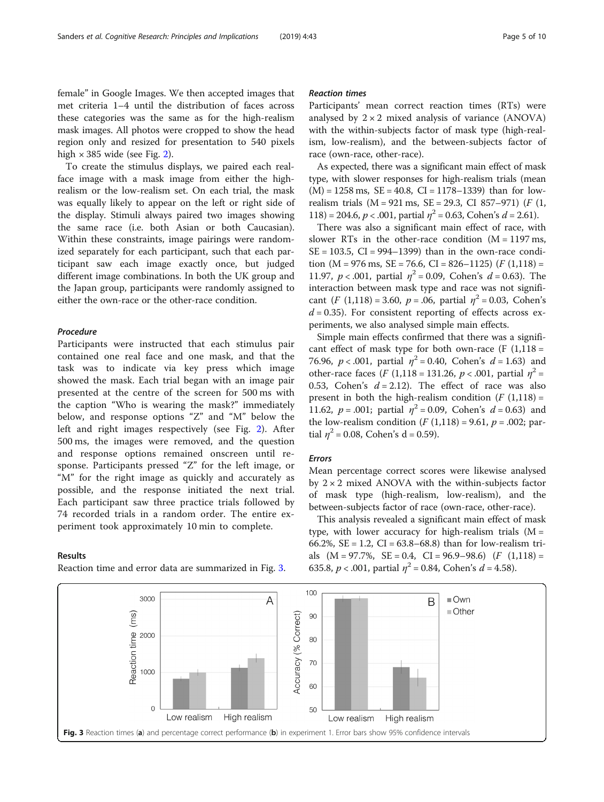female" in Google Images. We then accepted images that met criteria 1–4 until the distribution of faces across these categories was the same as for the high-realism mask images. All photos were cropped to show the head region only and resized for presentation to 540 pixels high  $\times$  385 wide (see Fig. [2\)](#page-2-0).

To create the stimulus displays, we paired each realface image with a mask image from either the highrealism or the low-realism set. On each trial, the mask was equally likely to appear on the left or right side of the display. Stimuli always paired two images showing the same race (i.e. both Asian or both Caucasian). Within these constraints, image pairings were randomized separately for each participant, such that each participant saw each image exactly once, but judged different image combinations. In both the UK group and the Japan group, participants were randomly assigned to either the own-race or the other-race condition.

# Procedure

Participants were instructed that each stimulus pair contained one real face and one mask, and that the task was to indicate via key press which image showed the mask. Each trial began with an image pair presented at the centre of the screen for 500 ms with the caption "Who is wearing the mask?" immediately below, and response options "Z" and "M" below the left and right images respectively (see Fig. [2\)](#page-2-0). After 500 ms, the images were removed, and the question and response options remained onscreen until response. Participants pressed "Z" for the left image, or "M" for the right image as quickly and accurately as possible, and the response initiated the next trial. Each participant saw three practice trials followed by 74 recorded trials in a random order. The entire experiment took approximately 10 min to complete.

#### Results

Reaction time and error data are summarized in Fig. 3.

# Reaction times

Participants' mean correct reaction times (RTs) were analysed by  $2 \times 2$  mixed analysis of variance (ANOVA) with the within-subjects factor of mask type (high-realism, low-realism), and the between-subjects factor of race (own-race, other-race).

As expected, there was a significant main effect of mask type, with slower responses for high-realism trials (mean  $(M) = 1258$  ms,  $SE = 40.8$ ,  $CI = 1178 - 1339$  than for lowrealism trials  $(M = 921 \text{ ms}, SE = 29.3, CI 857-971)$  (*F*  $(1,$ 118) = 204.6,  $p < .001$ , partial  $\eta^2 = 0.63$ , Cohen's  $d = 2.61$ .

There was also a significant main effect of race, with slower RTs in the other-race condition  $(M = 1197 \text{ ms})$ ,  $SE = 103.5$ ,  $CI = 994-1399$ ) than in the own-race condition (M = 976 ms, SE = 76.6, CI = 826-1125) ( $F(1,118)$  = 11.97,  $p < .001$ , partial  $\eta^2 = 0.09$ , Cohen's  $d = 0.63$ ). The interaction between mask type and race was not significant  $(F (1,118) = 3.60, p = .06,$  partial  $\eta^2 = 0.03$ , Cohen's  $d = 0.35$ ). For consistent reporting of effects across experiments, we also analysed simple main effects.

Simple main effects confirmed that there was a significant effect of mask type for both own-race  $(F (1,118 =$ 76.96,  $p < .001$ , partial  $\eta^2 = 0.40$ , Cohen's  $d = 1.63$ ) and other-race faces (F (1,118 = 131.26,  $p < .001$ , partial  $\eta^2 =$ 0.53, Cohen's  $d = 2.12$ ). The effect of race was also present in both the high-realism condition  $(F(1,118))$  = 11.62,  $p = .001$ ; partial  $\eta^2 = 0.09$ , Cohen's  $d = 0.63$ ) and the low-realism condition  $(F (1, 118) = 9.61, p = .002;$  partial  $\eta^2$  = 0.08, Cohen's d = 0.59).

## Errors

Mean percentage correct scores were likewise analysed by  $2 \times 2$  mixed ANOVA with the within-subjects factor of mask type (high-realism, low-realism), and the between-subjects factor of race (own-race, other-race).

This analysis revealed a significant main effect of mask type, with lower accuracy for high-realism trials  $(M =$ 66.2%,  $SE = 1.2$ ,  $CI = 63.8 - 68.8$ ) than for low-realism trials  $(M = 97.7\%$ ,  $SE = 0.4$ ,  $CI = 96.9-98.6$   $(F (1,118)) =$ 635.8,  $p < .001$ , partial  $\eta^2 = 0.84$ , Cohen's  $d = 4.58$ ).

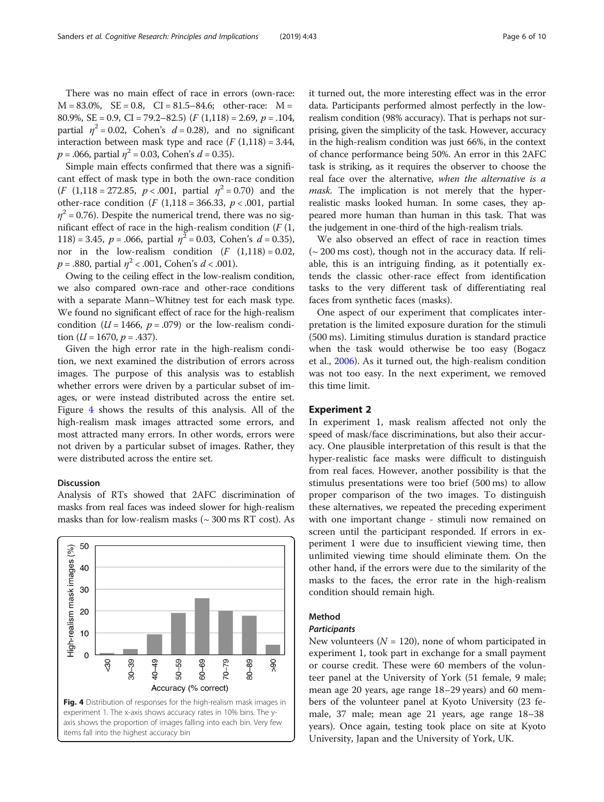There was no main effect of race in errors (own-race:  $M = 83.0\%$ ,  $SE = 0.8$ ,  $CI = 81.5 - 84.6$ ; other-race:  $M =$ 80.9%,  $SE = 0.9$ ,  $CI = 79.2 - 82.5$   $(F (1,118) = 2.69, p = .104,$ partial  $\eta^2 = 0.02$ , Cohen's  $d = 0.28$ ), and no significant interaction between mask type and race  $(F(1,118) = 3.44,$  $p = .066$ , partial  $\eta^2 = 0.03$ , Cohen's  $d = 0.35$ ).

Simple main effects confirmed that there was a significant effect of mask type in both the own-race condition  $(F (1,118 = 272.85, p < .001,$  partial  $\eta^2 = 0.70)$  and the other-race condition (F (1,118 = 366.33,  $p < .001$ , partial  $\eta^2$  = 0.76). Despite the numerical trend, there was no significant effect of race in the high-realism condition  $(F(1,$ 118) = 3.45,  $p = .066$ , partial  $\eta^2 = 0.03$ , Cohen's  $d = 0.35$ ), nor in the low-realism condition  $(F (1,118) = 0.02,$  $p = .880$ , partial  $\eta^2$  < .001, Cohen's  $d$  < .001).

Owing to the ceiling effect in the low-realism condition, we also compared own-race and other-race conditions with a separate Mann–Whitney test for each mask type. We found no significant effect of race for the high-realism condition ( $U = 1466$ ,  $p = .079$ ) or the low-realism condition ( $U = 1670$ ,  $p = .437$ ).

Given the high error rate in the high-realism condition, we next examined the distribution of errors across images. The purpose of this analysis was to establish whether errors were driven by a particular subset of images, or were instead distributed across the entire set. Figure 4 shows the results of this analysis. All of the high-realism mask images attracted some errors, and most attracted many errors. In other words, errors were not driven by a particular subset of images. Rather, they were distributed across the entire set.

### Discussion

Analysis of RTs showed that 2AFC discrimination of masks from real faces was indeed slower for high-realism masks than for low-realism masks  $({\sim}300\,\mathrm{ms\;RT\;cost})$ . As



it turned out, the more interesting effect was in the error data. Participants performed almost perfectly in the lowrealism condition (98% accuracy). That is perhaps not surprising, given the simplicity of the task. However, accuracy in the high-realism condition was just 66%, in the context of chance performance being 50%. An error in this 2AFC task is striking, as it requires the observer to choose the real face over the alternative, when the alternative is a mask. The implication is not merely that the hyperrealistic masks looked human. In some cases, they appeared more human than human in this task. That was the judgement in one-third of the high-realism trials.

We also observed an effect of race in reaction times  $\sim$  200 ms cost), though not in the accuracy data. If reliable, this is an intriguing finding, as it potentially extends the classic other-race effect from identification tasks to the very different task of differentiating real faces from synthetic faces (masks).

One aspect of our experiment that complicates interpretation is the limited exposure duration for the stimuli (500 ms). Limiting stimulus duration is standard practice when the task would otherwise be too easy (Bogacz et al., [2006](#page-8-0)). As it turned out, the high-realism condition was not too easy. In the next experiment, we removed this time limit.

# Experiment 2

In experiment 1, mask realism affected not only the speed of mask/face discriminations, but also their accuracy. One plausible interpretation of this result is that the hyper-realistic face masks were difficult to distinguish from real faces. However, another possibility is that the stimulus presentations were too brief (500 ms) to allow proper comparison of the two images. To distinguish these alternatives, we repeated the preceding experiment with one important change - stimuli now remained on screen until the participant responded. If errors in experiment 1 were due to insufficient viewing time, then unlimited viewing time should eliminate them. On the other hand, if the errors were due to the similarity of the masks to the faces, the error rate in the high-realism condition should remain high.

## Method

# **Participants**

New volunteers ( $N = 120$ ), none of whom participated in experiment 1, took part in exchange for a small payment or course credit. These were 60 members of the volunteer panel at the University of York (51 female, 9 male; mean age 20 years, age range 18–29 years) and 60 members of the volunteer panel at Kyoto University (23 female, 37 male; mean age 21 years, age range 18–38 years). Once again, testing took place on site at Kyoto University, Japan and the University of York, UK.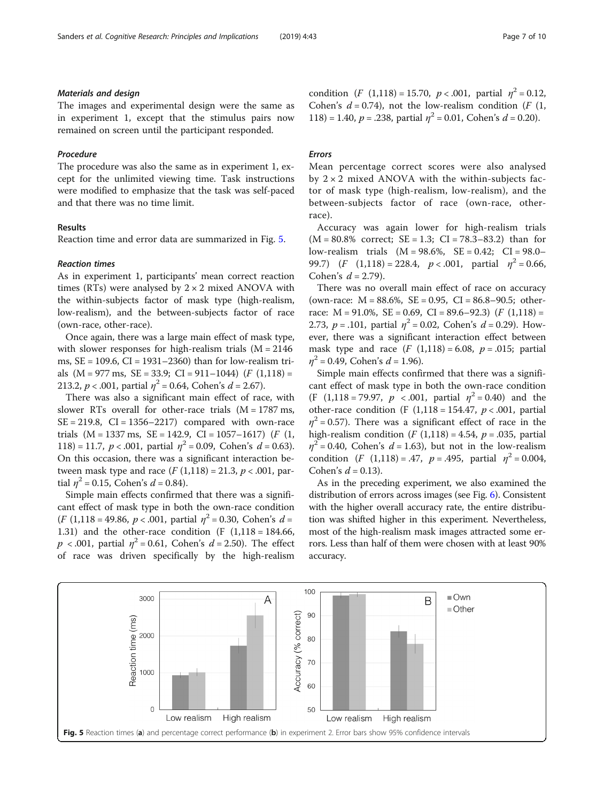# Materials and design

The images and experimental design were the same as in experiment 1, except that the stimulus pairs now remained on screen until the participant responded.

# Procedure

The procedure was also the same as in experiment 1, except for the unlimited viewing time. Task instructions were modified to emphasize that the task was self-paced and that there was no time limit.

# Results

Reaction time and error data are summarized in Fig. 5.

#### Reaction times

As in experiment 1, participants' mean correct reaction times (RTs) were analysed by  $2 \times 2$  mixed ANOVA with the within-subjects factor of mask type (high-realism, low-realism), and the between-subjects factor of race (own-race, other-race).

Once again, there was a large main effect of mask type, with slower responses for high-realism trials  $(M = 2146)$ ms,  $SE = 109.6$ ,  $CI = 1931-2360$ ) than for low-realism trials  $(M = 977 \text{ ms}, \text{ SE} = 33.9; \text{ CI} = 911 - 1044)$   $(F (1,118) =$ 213.2,  $p < .001$ , partial  $\eta^2 = 0.64$ , Cohen's  $d = 2.67$ ).

There was also a significant main effect of race, with slower RTs overall for other-race trials  $(M = 1787 \text{ ms})$ ,  $SE = 219.8$ ,  $CI = 1356-2217$  compared with own-race trials  $(M = 1337 \text{ ms}, \text{ SE} = 142.9, \text{ CI} = 1057 - 1617)$  (*F* (1, 118) = 11.7,  $p < .001$ , partial  $\eta^2 = 0.09$ , Cohen's  $d = 0.63$ ). On this occasion, there was a significant interaction between mask type and race  $(F (1,118) = 21.3, p < .001,$  partial  $\eta^2 = 0.15$ , Cohen's  $d = 0.84$ ).

Simple main effects confirmed that there was a significant effect of mask type in both the own-race condition  $(F (1,118 = 49.86, p < .001,$  partial  $\eta^2 = 0.30$ , Cohen's  $d =$ 1.31) and the other-race condition (F  $(1,118 = 184.66,$  $p < .001$ , partial  $\eta^2 = 0.61$ , Cohen's  $d = 2.50$ ). The effect of race was driven specifically by the high-realism condition  $(F (1,118) = 15.70, p < .001,$  partial  $\eta^2 = 0.12$ , Cohen's  $d = 0.74$ ), not the low-realism condition (F (1, 118) = 1.40,  $p = 0.238$ , partial  $\eta^2 = 0.01$ , Cohen's  $d = 0.20$ .

# Errors

Mean percentage correct scores were also analysed by  $2 \times 2$  mixed ANOVA with the within-subjects factor of mask type (high-realism, low-realism), and the between-subjects factor of race (own-race, otherrace).

Accuracy was again lower for high-realism trials  $(M = 80.8\%$  correct;  $SE = 1.3$ ;  $CI = 78.3-83.2$ ) than for low-realism trials (M = 98.6%, SE = 0.42; CI = 98.0– 99.7)  $(F (1,118) = 228.4, p < .001,$  partial  $\eta^2 = 0.66$ , Cohen's  $d = 2.79$ ).

There was no overall main effect of race on accuracy (own-race:  $M = 88.6\%$ ,  $SE = 0.95$ ,  $CI = 86.8-90.5$ ; otherrace:  $M = 91.0\%$ ,  $SE = 0.69$ ,  $CI = 89.6 - 92.3$   $(F (1,118)) =$ 2.73,  $p = .101$ , partial  $\eta^2 = 0.02$ , Cohen's  $d = 0.29$ ). However, there was a significant interaction effect between mask type and race  $(F (1,118) = 6.08, p = .015;$  partial  $n^2$  = 0.49, Cohen's  $d = 1.96$ ).

Simple main effects confirmed that there was a significant effect of mask type in both the own-race condition (F (1,118 = 79.97,  $p \lt 0.001$ , partial  $\eta^2 = 0.40$ ) and the other-race condition (F  $(1,118 = 154.47, p < .001,$  partial  $\eta^2$  = 0.57). There was a significant effect of race in the high-realism condition  $(F (1,118) = 4.54, p = .035,$  partial  $\eta^2$  = 0.40, Cohen's d = 1.63), but not in the low-realism condition (*F* (1,118) = .47,  $p = .495$ , partial  $\eta^2 = 0.004$ , Cohen's  $d = 0.13$ ).

As in the preceding experiment, we also examined the distribution of errors across images (see Fig. [6](#page-7-0)). Consistent with the higher overall accuracy rate, the entire distribution was shifted higher in this experiment. Nevertheless, most of the high-realism mask images attracted some errors. Less than half of them were chosen with at least 90% accuracy.

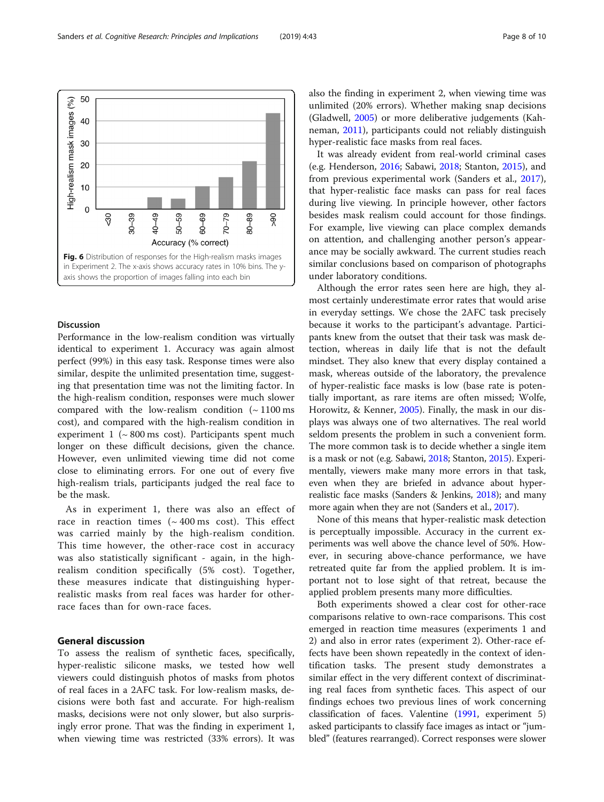<span id="page-7-0"></span>Sanders et al. Cognitive Research: Principles and Implications (2019) 4:43 Page 8 of 10



# **Discussion**

Performance in the low-realism condition was virtually identical to experiment 1. Accuracy was again almost perfect (99%) in this easy task. Response times were also similar, despite the unlimited presentation time, suggesting that presentation time was not the limiting factor. In the high-realism condition, responses were much slower compared with the low-realism condition  $($   $\sim$  1100 ms cost), and compared with the high-realism condition in experiment  $1$  ( $\sim$  800 ms cost). Participants spent much longer on these difficult decisions, given the chance. However, even unlimited viewing time did not come close to eliminating errors. For one out of every five high-realism trials, participants judged the real face to be the mask.

As in experiment 1, there was also an effect of race in reaction times  $({\sim}400 \text{ ms cost})$ . This effect was carried mainly by the high-realism condition. This time however, the other-race cost in accuracy was also statistically significant - again, in the highrealism condition specifically (5% cost). Together, these measures indicate that distinguishing hyperrealistic masks from real faces was harder for otherrace faces than for own-race faces.

# General discussion

To assess the realism of synthetic faces, specifically, hyper-realistic silicone masks, we tested how well viewers could distinguish photos of masks from photos of real faces in a 2AFC task. For low-realism masks, decisions were both fast and accurate. For high-realism masks, decisions were not only slower, but also surprisingly error prone. That was the finding in experiment 1, when viewing time was restricted (33% errors). It was also the finding in experiment 2, when viewing time was unlimited (20% errors). Whether making snap decisions (Gladwell, [2005](#page-8-0)) or more deliberative judgements (Kahneman, [2011\)](#page-9-0), participants could not reliably distinguish hyper-realistic face masks from real faces.

It was already evident from real-world criminal cases (e.g. Henderson, [2016](#page-8-0); Sabawi, [2018](#page-9-0); Stanton, [2015](#page-9-0)), and from previous experimental work (Sanders et al., [2017](#page-9-0)), that hyper-realistic face masks can pass for real faces during live viewing. In principle however, other factors besides mask realism could account for those findings. For example, live viewing can place complex demands on attention, and challenging another person's appearance may be socially awkward. The current studies reach similar conclusions based on comparison of photographs under laboratory conditions.

Although the error rates seen here are high, they almost certainly underestimate error rates that would arise in everyday settings. We chose the 2AFC task precisely because it works to the participant's advantage. Participants knew from the outset that their task was mask detection, whereas in daily life that is not the default mindset. They also knew that every display contained a mask, whereas outside of the laboratory, the prevalence of hyper-realistic face masks is low (base rate is potentially important, as rare items are often missed; Wolfe, Horowitz, & Kenner, [2005\)](#page-9-0). Finally, the mask in our displays was always one of two alternatives. The real world seldom presents the problem in such a convenient form. The more common task is to decide whether a single item is a mask or not (e.g. Sabawi, [2018;](#page-9-0) Stanton, [2015\)](#page-9-0). Experimentally, viewers make many more errors in that task, even when they are briefed in advance about hyperrealistic face masks (Sanders & Jenkins, [2018](#page-9-0)); and many more again when they are not (Sanders et al., [2017\)](#page-9-0).

None of this means that hyper-realistic mask detection is perceptually impossible. Accuracy in the current experiments was well above the chance level of 50%. However, in securing above-chance performance, we have retreated quite far from the applied problem. It is important not to lose sight of that retreat, because the applied problem presents many more difficulties.

Both experiments showed a clear cost for other-race comparisons relative to own-race comparisons. This cost emerged in reaction time measures (experiments 1 and 2) and also in error rates (experiment 2). Other-race effects have been shown repeatedly in the context of identification tasks. The present study demonstrates a similar effect in the very different context of discriminating real faces from synthetic faces. This aspect of our findings echoes two previous lines of work concerning classification of faces. Valentine [\(1991,](#page-9-0) experiment 5) asked participants to classify face images as intact or "jumbled" (features rearranged). Correct responses were slower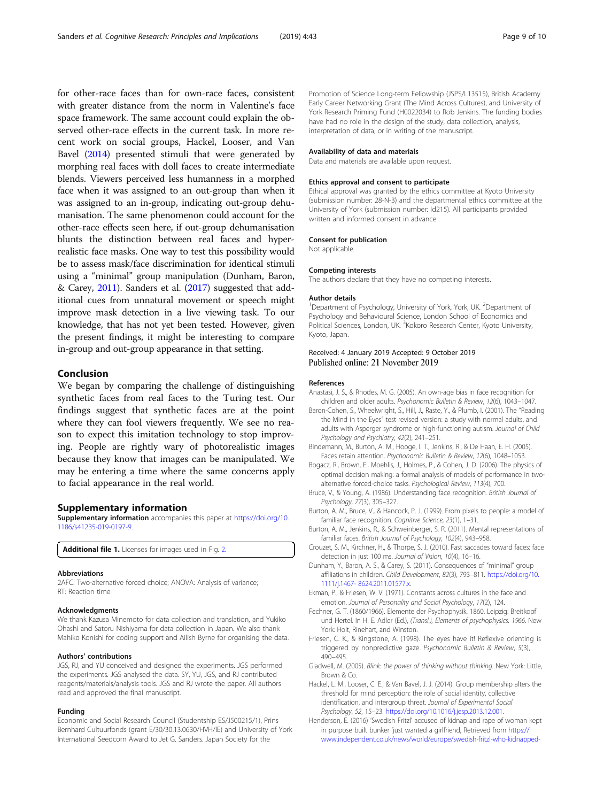<span id="page-8-0"></span>for other-race faces than for own-race faces, consistent with greater distance from the norm in Valentine's face space framework. The same account could explain the observed other-race effects in the current task. In more recent work on social groups, Hackel, Looser, and Van Bavel (2014) presented stimuli that were generated by morphing real faces with doll faces to create intermediate blends. Viewers perceived less humanness in a morphed face when it was assigned to an out-group than when it was assigned to an in-group, indicating out-group dehumanisation. The same phenomenon could account for the other-race effects seen here, if out-group dehumanisation blunts the distinction between real faces and hyperrealistic face masks. One way to test this possibility would be to assess mask/face discrimination for identical stimuli using a "minimal" group manipulation (Dunham, Baron, & Carey, 2011). Sanders et al. [\(2017](#page-9-0)) suggested that additional cues from unnatural movement or speech might improve mask detection in a live viewing task. To our knowledge, that has not yet been tested. However, given the present findings, it might be interesting to compare in-group and out-group appearance in that setting.

# Conclusion

We began by comparing the challenge of distinguishing synthetic faces from real faces to the Turing test. Our findings suggest that synthetic faces are at the point where they can fool viewers frequently. We see no reason to expect this imitation technology to stop improving. People are rightly wary of photorealistic images because they know that images can be manipulated. We may be entering a time where the same concerns apply to facial appearance in the real world.

# Supplementary information

Supplementary information accompanies this paper at [https://doi.org/10.](https://doi.org/10.1186/s41235-019-0197-9) [1186/s41235-019-0197-9.](https://doi.org/10.1186/s41235-019-0197-9)

Additional file 1. Licenses for images used in Fig. [2](#page-2-0).

#### Abbreviations

2AFC: Two-alternative forced choice; ANOVA: Analysis of variance; RT: Reaction time

#### Acknowledgments

We thank Kazusa Minemoto for data collection and translation, and Yukiko Ohashi and Satoru Nishiyama for data collection in Japan. We also thank Mahiko Konishi for coding support and Ailish Byrne for organising the data.

#### Authors' contributions

JGS, RJ, and YU conceived and designed the experiments. JGS performed the experiments. JGS analysed the data. SY, YU, JGS, and RJ contributed reagents/materials/analysis tools. JGS and RJ wrote the paper. All authors read and approved the final manuscript.

#### Funding

Economic and Social Research Council (Studentship ES/J500215/1), Prins Bernhard Cultuurfonds (grant E/30/30.13.0630/HVH/IE) and University of York International Seedcorn Award to Jet G. Sanders. Japan Society for the

Promotion of Science Long-term Fellowship (JSPS/L13515), British Academy Early Career Networking Grant (The Mind Across Cultures), and University of York Research Priming Fund (H0022034) to Rob Jenkins. The funding bodies have had no role in the design of the study, data collection, analysis, interpretation of data, or in writing of the manuscript.

#### Availability of data and materials

Data and materials are available upon request.

## Ethics approval and consent to participate

Ethical approval was granted by the ethics committee at Kyoto University (submission number: 28-N-3) and the departmental ethics committee at the University of York (submission number: Id215). All participants provided written and informed consent in advance.

#### Consent for publication

Not applicable.

#### Competing interests

The authors declare that they have no competing interests.

#### Author details

<sup>1</sup>Department of Psychology, University of York, York, UK. <sup>2</sup>Department of Psychology and Behavioural Science, London School of Economics and Political Sciences, London, UK. <sup>3</sup>Kokoro Research Center, Kyoto University, Kyoto, Japan.

# Received: 4 January 2019 Accepted: 9 October 2019 Published online: 21 November 2019

#### References

- Anastasi, J. S., & Rhodes, M. G. (2005). An own-age bias in face recognition for children and older adults. Psychonomic Bulletin & Review, 12(6), 1043–1047.
- Baron-Cohen, S., Wheelwright, S., Hill, J., Raste, Y., & Plumb, I. (2001). The "Reading the Mind in the Eyes" test revised version: a study with normal adults, and adults with Asperger syndrome or high-functioning autism. Journal of Child Psychology and Psychiatry, 42(2), 241–251.
- Bindemann, M., Burton, A. M., Hooge, I. T., Jenkins, R., & De Haan, E. H. (2005). Faces retain attention. Psychonomic Bulletin & Review, 12(6), 1048–1053.
- Bogacz, R., Brown, E., Moehlis, J., Holmes, P., & Cohen, J. D. (2006). The physics of optimal decision making: a formal analysis of models of performance in twoalternative forced-choice tasks. Psychological Review, 113(4), 700.
- Bruce, V., & Young, A. (1986). Understanding face recognition. British Journal of Psychology, 77(3), 305–327.
- Burton, A. M., Bruce, V., & Hancock, P. J. (1999). From pixels to people: a model of familiar face recognition. Cognitive Science, 23(1), 1–31.
- Burton, A. M., Jenkins, R., & Schweinberger, S. R. (2011). Mental representations of familiar faces. British Journal of Psychology, 102(4), 943–958.
- Crouzet, S. M., Kirchner, H., & Thorpe, S. J. (2010). Fast saccades toward faces: face detection in just 100 ms. Journal of Vision, 10(4), 16–16.
- Dunham, Y., Baron, A. S., & Carey, S. (2011). Consequences of "minimal" group affiliations in children. Child Development, 82(3), 793–811. [https://doi.org/10.](https://doi.org/10.1111/j.1467- 8624.2011.01577.x) [1111/j.1467- 8624.2011.01577.x](https://doi.org/10.1111/j.1467- 8624.2011.01577.x).
- Ekman, P., & Friesen, W. V. (1971). Constants across cultures in the face and emotion. Journal of Personality and Social Psychology, 17(2), 124.
- Fechner, G. T. (1860/1966). Elemente der Psychophysik. 1860. Leipzig: Breitkopf und Hertel. In H. E. Adler (Ed.), (Transl.), Elements of psychophysics. 1966. New York: Holt, Rinehart, and Winston.
- Friesen, C. K., & Kingstone, A. (1998). The eyes have it! Reflexive orienting is triggered by nonpredictive gaze. Psychonomic Bulletin & Review, 5(3), 490–495.
- Gladwell, M. (2005). Blink: the power of thinking without thinking. New York: Little, Brown & Co.
- Hackel, L. M., Looser, C. E., & Van Bavel, J. J. (2014). Group membership alters the threshold for mind perception: the role of social identity, collective identification, and intergroup threat. Journal of Experimental Social Psychology, 52, 15–23. <https://doi.org/10.1016/j.jesp.2013.12.001>.
- Henderson, E. (2016) 'Swedish Fritzl' accused of kidnap and rape of woman kept in purpose built bunker 'just wanted a girlfriend, Retrieved from [https://](https://www.independent.co.uk/news/world/europe/swedish-fritzl-who-kidnapped-and-raped-woman-he-kept-in-purpose-built-bunker-for-six-days-just-a6820686.html) [www.independent.co.uk/news/world/europe/swedish-fritzl-who-kidnapped-](https://www.independent.co.uk/news/world/europe/swedish-fritzl-who-kidnapped-and-raped-woman-he-kept-in-purpose-built-bunker-for-six-days-just-a6820686.html)